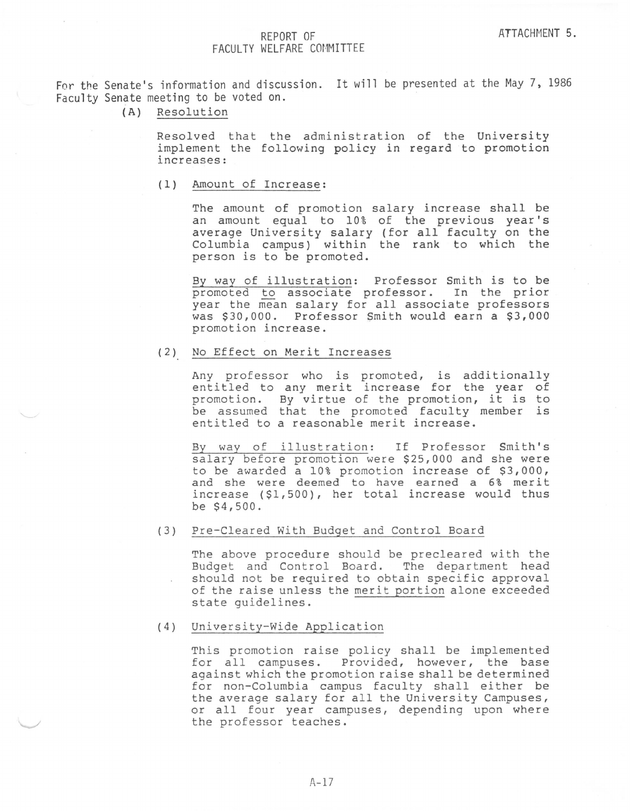## FACULTY WELFARE COMMITTEE

For the Senate's information and discussion. It will be presented at the May 7, 1986 Faculty Senate meeting to be voted on.

(A) Resolution

Resolved that the administration of the University implement the following policy in regard to promotion increases:

(1) Amount of Increase:

The amount of promotion salary increase shall be an amount equal to 10% of the previous year's average University salary Columbia campus) within person is to be promoted. (for all faculty on the the rank to which the

By way of illustration: Professor Smith is to be promoted to associate professor. In the prior year the mean salary for all associate professors was \$30,000. Professor Smith would earn a \$3,000 promotion increase.

(2) No Effect on Merit Increases

Any professor who is promoted, is additionally entitled to any merit increase for the year of promotion. By virtue of the promotion, it is to be assumed that the promoted faculty member is entitled to a reasonable merit increase.

By way of illustration: If Professor Smith's salary before promotion were \$25,000 and she were to be awarded a 10% promotion increase of \$3,000, and she were deemed to have earned a 6% merit increase (\$1,500), her total increase would thus be \$4,500.

(3) Pre-Cleared With Budget and Control Board

The above procedure should be precleared with the Budget and Control Board. The department head should not be required to obtain specific approval of the raise unless the merit portion alone exceeded state guidelines.

(4) University-Wide Application

This promotion raise policy shall be implemented for all campuses. Provided, however, the base against which the promotion raise shall be determined for non-Columbia campus faculty shall either be the average salary for all the University Campuses, or all four year campuses, depending upon where the professor teaches .

 $A-17$